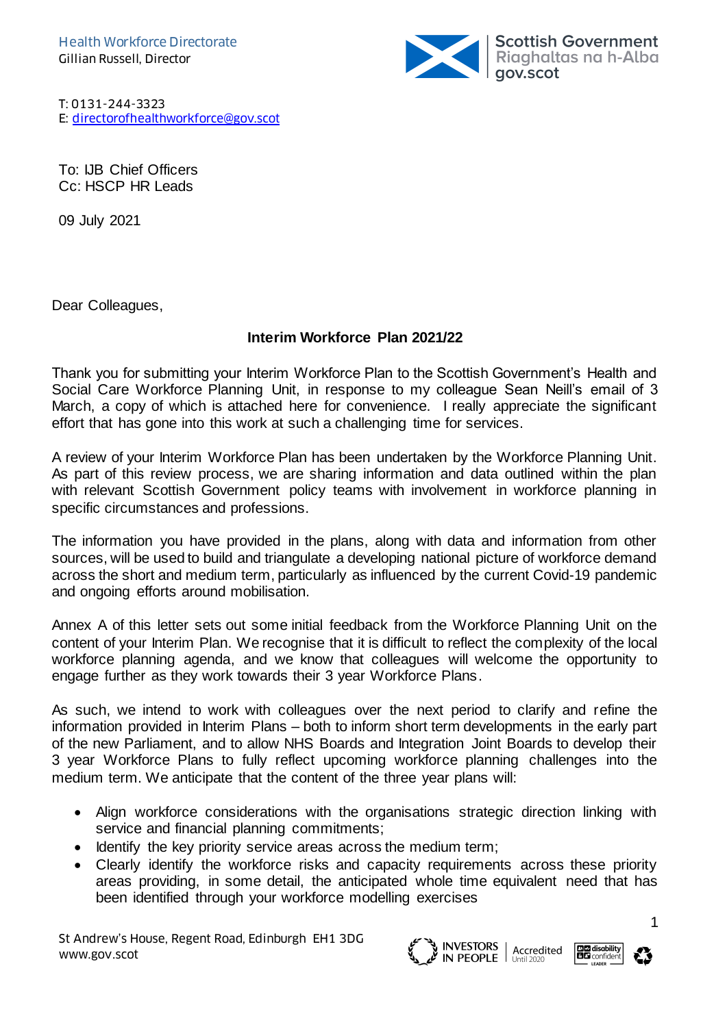

T: 0131-244-3323 E: [directorofhealthworkforce@gov.scot](mailto:directorofhealthworkforce@gov.scot)

To: IJB Chief Officers Cc: HSCP HR Leads

09 July 2021

Dear Colleagues,

## **Interim Workforce Plan 2021/22**

Thank you for submitting your Interim Workforce Plan to the Scottish Government's Health and Social Care Workforce Planning Unit, in response to my colleague Sean Neill's email of 3 March, a copy of which is attached here for convenience. I really appreciate the significant effort that has gone into this work at such a challenging time for services.

A review of your Interim Workforce Plan has been undertaken by the Workforce Planning Unit. As part of this review process, we are sharing information and data outlined within the plan with relevant Scottish Government policy teams with involvement in workforce planning in specific circumstances and professions.

The information you have provided in the plans, along with data and information from other sources, will be used to build and triangulate a developing national picture of workforce demand across the short and medium term, particularly as influenced by the current Covid-19 pandemic and ongoing efforts around mobilisation.

Annex A of this letter sets out some initial feedback from the Workforce Planning Unit on the content of your Interim Plan. We recognise that it is difficult to reflect the complexity of the local workforce planning agenda, and we know that colleagues will welcome the opportunity to engage further as they work towards their 3 year Workforce Plans.

As such, we intend to work with colleagues over the next period to clarify and refine the information provided in Interim Plans – both to inform short term developments in the early part of the new Parliament, and to allow NHS Boards and Integration Joint Boards to develop their 3 year Workforce Plans to fully reflect upcoming workforce planning challenges into the medium term. We anticipate that the content of the three year plans will:

- Align workforce considerations with the organisations strategic direction linking with service and financial planning commitments;
- Identify the key priority service areas across the medium term;
- Clearly identify the workforce risks and capacity requirements across these priority areas providing, in some detail, the anticipated whole time equivalent need that has been identified through your workforce modelling exercises

St Andrew's House, Regent Road, Edinburgh EH1 3DG www.gov.scot





ו<br>ו

1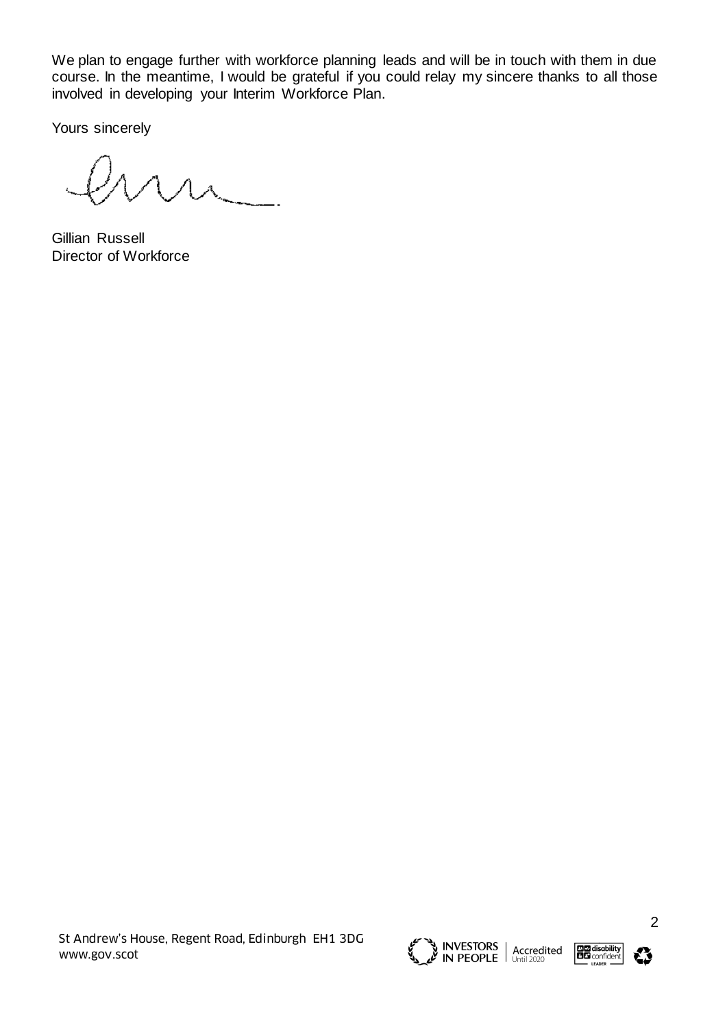We plan to engage further with workforce planning leads and will be in touch with them in due course. In the meantime, I would be grateful if you could relay my sincere thanks to all those involved in developing your Interim Workforce Plan.

Yours sincerely

 $u$ 

Gillian Russell Director of Workforce

St Andrew's House, Regent Road, Edinburgh EH1 3DG www.gov.scot





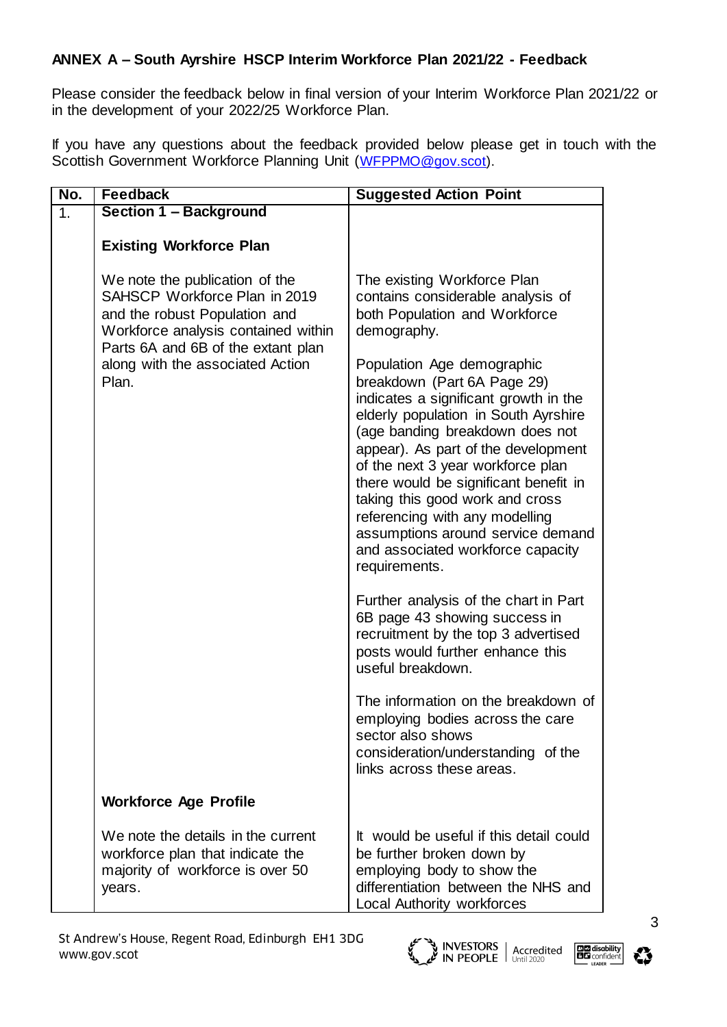## **ANNEX A – South Ayrshire HSCP Interim Workforce Plan 2021/22 - Feedback**

Please consider the feedback below in final version of your Interim Workforce Plan 2021/22 or in the development of your 2022/25 Workforce Plan.

If you have any questions about the feedback provided below please get in touch with the Scottish Government Workforce Planning Unit ([WFPPMO@gov.scot\).](mailto:WFPPMO@gov.scot)

| No. | <b>Feedback</b>                                                                                                                                                                                                            | <b>Suggested Action Point</b>                                                                                                                                                                                                                                                                                                                                                                                                                                                                                                                                                                                                                                                                                                                                                                                                                                                                          |
|-----|----------------------------------------------------------------------------------------------------------------------------------------------------------------------------------------------------------------------------|--------------------------------------------------------------------------------------------------------------------------------------------------------------------------------------------------------------------------------------------------------------------------------------------------------------------------------------------------------------------------------------------------------------------------------------------------------------------------------------------------------------------------------------------------------------------------------------------------------------------------------------------------------------------------------------------------------------------------------------------------------------------------------------------------------------------------------------------------------------------------------------------------------|
| 1.  | Section 1 - Background                                                                                                                                                                                                     |                                                                                                                                                                                                                                                                                                                                                                                                                                                                                                                                                                                                                                                                                                                                                                                                                                                                                                        |
|     | <b>Existing Workforce Plan</b>                                                                                                                                                                                             |                                                                                                                                                                                                                                                                                                                                                                                                                                                                                                                                                                                                                                                                                                                                                                                                                                                                                                        |
|     | We note the publication of the<br>SAHSCP Workforce Plan in 2019<br>and the robust Population and<br>Workforce analysis contained within<br>Parts 6A and 6B of the extant plan<br>along with the associated Action<br>Plan. | The existing Workforce Plan<br>contains considerable analysis of<br>both Population and Workforce<br>demography.<br>Population Age demographic<br>breakdown (Part 6A Page 29)<br>indicates a significant growth in the<br>elderly population in South Ayrshire<br>(age banding breakdown does not<br>appear). As part of the development<br>of the next 3 year workforce plan<br>there would be significant benefit in<br>taking this good work and cross<br>referencing with any modelling<br>assumptions around service demand<br>and associated workforce capacity<br>requirements.<br>Further analysis of the chart in Part<br>6B page 43 showing success in<br>recruitment by the top 3 advertised<br>posts would further enhance this<br>useful breakdown.<br>The information on the breakdown of<br>employing bodies across the care<br>sector also shows<br>consideration/understanding of the |
|     |                                                                                                                                                                                                                            | links across these areas.                                                                                                                                                                                                                                                                                                                                                                                                                                                                                                                                                                                                                                                                                                                                                                                                                                                                              |
|     | <b>Workforce Age Profile</b>                                                                                                                                                                                               |                                                                                                                                                                                                                                                                                                                                                                                                                                                                                                                                                                                                                                                                                                                                                                                                                                                                                                        |
|     | We note the details in the current<br>workforce plan that indicate the<br>majority of workforce is over 50<br>years.                                                                                                       | It would be useful if this detail could<br>be further broken down by<br>employing body to show the<br>differentiation between the NHS and<br>Local Authority workforces                                                                                                                                                                                                                                                                                                                                                                                                                                                                                                                                                                                                                                                                                                                                |





ו<br>ו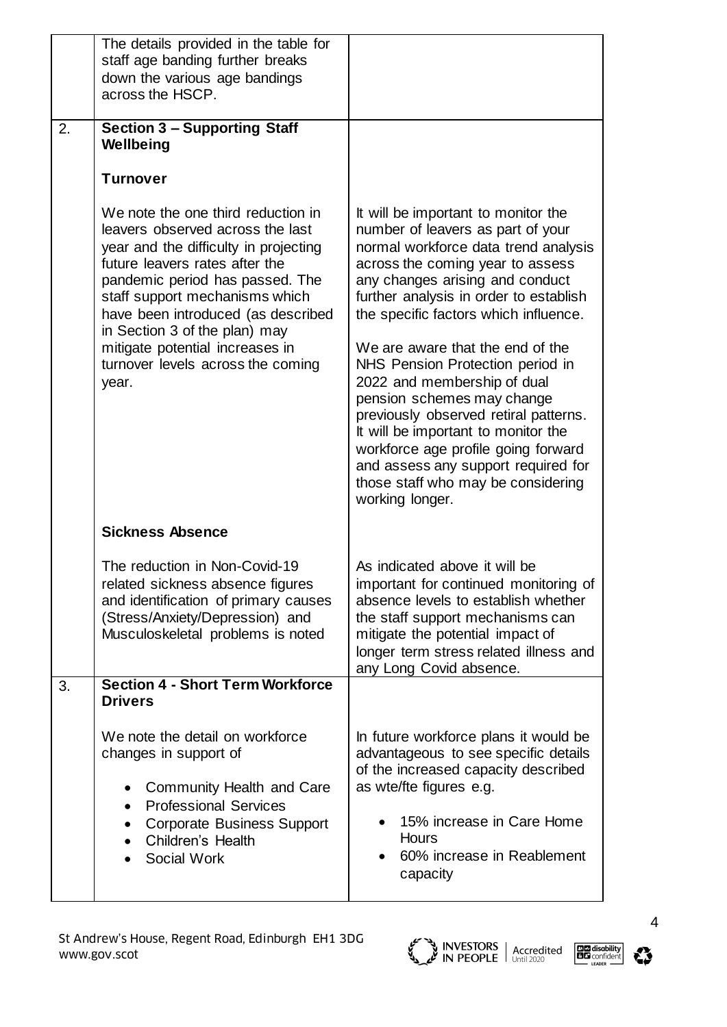|    | The details provided in the table for<br>staff age banding further breaks<br>down the various age bandings<br>across the HSCP.                                                                                                                                                                                                                                                 |                                                                                                                                                                                                                                                                                                                                                                                                                                                                                                                                                                                                                                        |
|----|--------------------------------------------------------------------------------------------------------------------------------------------------------------------------------------------------------------------------------------------------------------------------------------------------------------------------------------------------------------------------------|----------------------------------------------------------------------------------------------------------------------------------------------------------------------------------------------------------------------------------------------------------------------------------------------------------------------------------------------------------------------------------------------------------------------------------------------------------------------------------------------------------------------------------------------------------------------------------------------------------------------------------------|
| 2. | <b>Section 3 - Supporting Staff</b><br>Wellbeing<br><b>Turnover</b>                                                                                                                                                                                                                                                                                                            |                                                                                                                                                                                                                                                                                                                                                                                                                                                                                                                                                                                                                                        |
|    | We note the one third reduction in<br>leavers observed across the last<br>year and the difficulty in projecting<br>future leavers rates after the<br>pandemic period has passed. The<br>staff support mechanisms which<br>have been introduced (as described<br>in Section 3 of the plan) may<br>mitigate potential increases in<br>turnover levels across the coming<br>year. | It will be important to monitor the<br>number of leavers as part of your<br>normal workforce data trend analysis<br>across the coming year to assess<br>any changes arising and conduct<br>further analysis in order to establish<br>the specific factors which influence.<br>We are aware that the end of the<br>NHS Pension Protection period in<br>2022 and membership of dual<br>pension schemes may change<br>previously observed retiral patterns.<br>It will be important to monitor the<br>workforce age profile going forward<br>and assess any support required for<br>those staff who may be considering<br>working longer. |
|    | <b>Sickness Absence</b>                                                                                                                                                                                                                                                                                                                                                        |                                                                                                                                                                                                                                                                                                                                                                                                                                                                                                                                                                                                                                        |
|    | The reduction in Non-Covid-19<br>related sickness absence figures<br>and identification of primary causes<br>(Stress/Anxiety/Depression) and<br>Musculoskeletal problems is noted                                                                                                                                                                                              | As indicated above it will be<br>important for continued monitoring of<br>absence levels to establish whether<br>the staff support mechanisms can<br>mitigate the potential impact of<br>longer term stress related illness and<br>any Long Covid absence.                                                                                                                                                                                                                                                                                                                                                                             |
| 3. | <b>Section 4 - Short Term Workforce</b><br><b>Drivers</b>                                                                                                                                                                                                                                                                                                                      |                                                                                                                                                                                                                                                                                                                                                                                                                                                                                                                                                                                                                                        |
|    | We note the detail on workforce<br>changes in support of<br>Community Health and Care<br><b>Professional Services</b><br><b>Corporate Business Support</b><br>Children's Health<br>Social Work                                                                                                                                                                                 | In future workforce plans it would be<br>advantageous to see specific details<br>of the increased capacity described<br>as wte/fte figures e.g.<br>15% increase in Care Home<br>Hours<br>60% increase in Reablement<br>capacity                                                                                                                                                                                                                                                                                                                                                                                                        |





ו<br>ו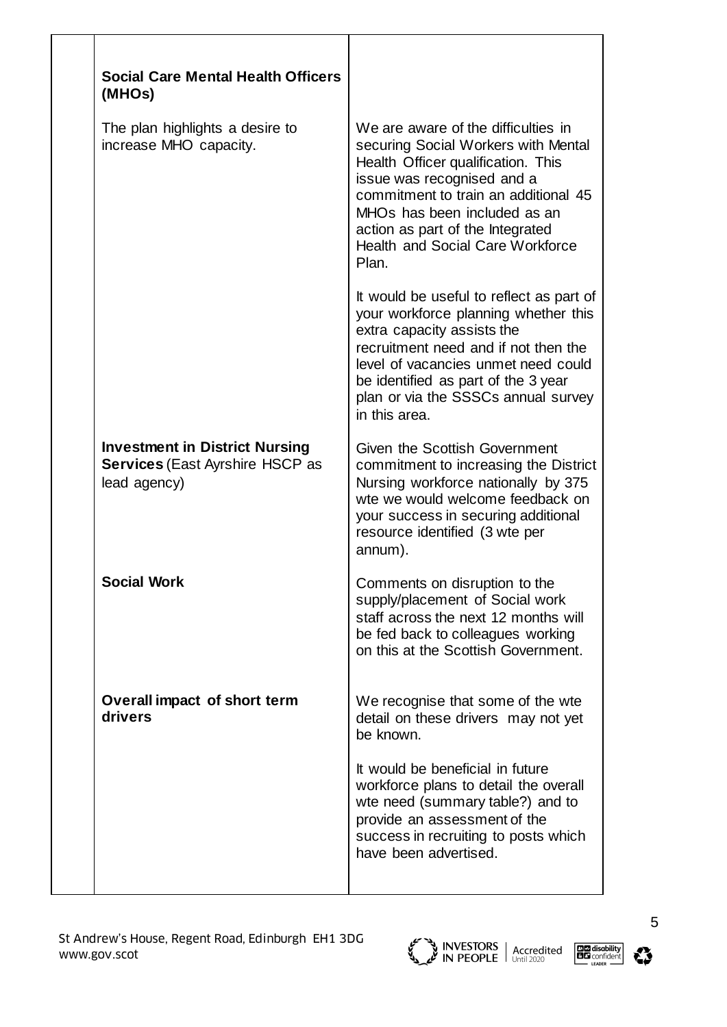| <b>Social Care Mental Health Officers</b><br>(MHOs)                                             |                                                                                                                                                                                                                                                                                                                |
|-------------------------------------------------------------------------------------------------|----------------------------------------------------------------------------------------------------------------------------------------------------------------------------------------------------------------------------------------------------------------------------------------------------------------|
| The plan highlights a desire to<br>increase MHO capacity.                                       | We are aware of the difficulties in<br>securing Social Workers with Mental<br>Health Officer qualification. This<br>issue was recognised and a<br>commitment to train an additional 45<br>MHOs has been included as an<br>action as part of the Integrated<br><b>Health and Social Care Workforce</b><br>Plan. |
|                                                                                                 | It would be useful to reflect as part of<br>your workforce planning whether this<br>extra capacity assists the<br>recruitment need and if not then the<br>level of vacancies unmet need could<br>be identified as part of the 3 year<br>plan or via the SSSCs annual survey<br>in this area.                   |
| <b>Investment in District Nursing</b><br><b>Services (East Ayrshire HSCP as</b><br>lead agency) | Given the Scottish Government<br>commitment to increasing the District<br>Nursing workforce nationally by 375<br>wte we would welcome feedback on<br>your success in securing additional<br>resource identified (3 wte per<br>annum).                                                                          |
| <b>Social Work</b>                                                                              | Comments on disruption to the<br>supply/placement of Social work<br>staff across the next 12 months will<br>be fed back to colleagues working<br>on this at the Scottish Government.                                                                                                                           |
| Overall impact of short term<br>drivers                                                         | We recognise that some of the wte<br>detail on these drivers may not yet<br>be known.                                                                                                                                                                                                                          |
|                                                                                                 | It would be beneficial in future<br>workforce plans to detail the overall<br>wte need (summary table?) and to<br>provide an assessment of the<br>success in recruiting to posts which<br>have been advertised.                                                                                                 |
|                                                                                                 |                                                                                                                                                                                                                                                                                                                |



ו<br>ו



5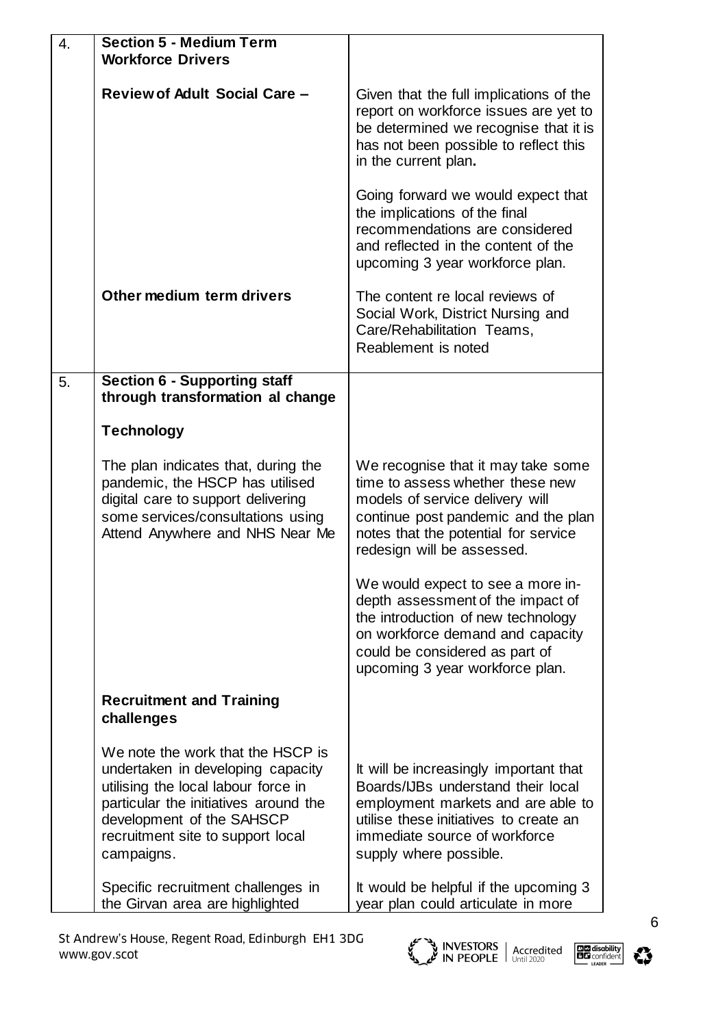| 4. | <b>Section 5 - Medium Term</b><br><b>Workforce Drivers</b>                                                                                                                                                                             |                                                                                                                                                                                                                         |
|----|----------------------------------------------------------------------------------------------------------------------------------------------------------------------------------------------------------------------------------------|-------------------------------------------------------------------------------------------------------------------------------------------------------------------------------------------------------------------------|
|    | <b>Review of Adult Social Care -</b>                                                                                                                                                                                                   | Given that the full implications of the<br>report on workforce issues are yet to<br>be determined we recognise that it is<br>has not been possible to reflect this<br>in the current plan.                              |
|    |                                                                                                                                                                                                                                        | Going forward we would expect that<br>the implications of the final<br>recommendations are considered<br>and reflected in the content of the<br>upcoming 3 year workforce plan.                                         |
|    | Other medium term drivers                                                                                                                                                                                                              | The content re local reviews of<br>Social Work, District Nursing and<br>Care/Rehabilitation Teams,<br>Reablement is noted                                                                                               |
| 5. | <b>Section 6 - Supporting staff</b><br>through transformation al change                                                                                                                                                                |                                                                                                                                                                                                                         |
|    | <b>Technology</b>                                                                                                                                                                                                                      |                                                                                                                                                                                                                         |
|    | The plan indicates that, during the<br>pandemic, the HSCP has utilised<br>digital care to support delivering<br>some services/consultations using<br>Attend Anywhere and NHS Near Me                                                   | We recognise that it may take some<br>time to assess whether these new<br>models of service delivery will<br>continue post pandemic and the plan<br>notes that the potential for service<br>redesign will be assessed.  |
|    |                                                                                                                                                                                                                                        | We would expect to see a more in-<br>depth assessment of the impact of<br>the introduction of new technology<br>on workforce demand and capacity<br>could be considered as part of<br>upcoming 3 year workforce plan.   |
|    | <b>Recruitment and Training</b><br>challenges                                                                                                                                                                                          |                                                                                                                                                                                                                         |
|    | We note the work that the HSCP is<br>undertaken in developing capacity<br>utilising the local labour force in<br>particular the initiatives around the<br>development of the SAHSCP<br>recruitment site to support local<br>campaigns. | It will be increasingly important that<br>Boards/IJBs understand their local<br>employment markets and are able to<br>utilise these initiatives to create an<br>immediate source of workforce<br>supply where possible. |
|    | Specific recruitment challenges in<br>the Girvan area are highlighted                                                                                                                                                                  | It would be helpful if the upcoming 3<br>year plan could articulate in more                                                                                                                                             |





6